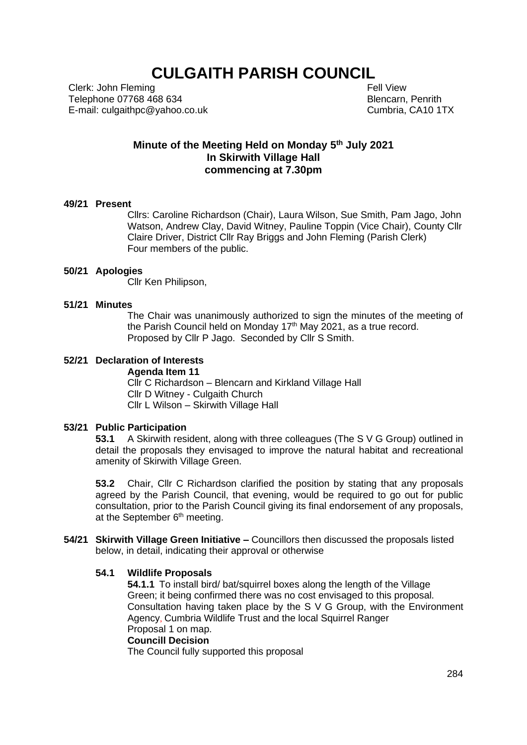# **CULGAITH PARISH COUNCIL**

Clerk: John Fleming Telephone 07768 468 634 E-mail: culgaithpc@yahoo.co.uk  Fell View Blencarn, Penrith Cumbria, CA10 1TX

## **Minute of the Meeting Held on Monday 5 th July 2021 In Skirwith Village Hall commencing at 7.30pm**

## **49/21 Present**

Cllrs: Caroline Richardson (Chair), Laura Wilson, Sue Smith, Pam Jago, John Watson, Andrew Clay, David Witney, Pauline Toppin (Vice Chair), County Cllr Claire Driver, District Cllr Ray Briggs and John Fleming (Parish Clerk) Four members of the public.

#### **50/21 Apologies**

Cllr Ken Philipson,

#### **51/21 Minutes**

The Chair was unanimously authorized to sign the minutes of the meeting of the Parish Council held on Monday  $17<sup>th</sup>$  May 2021, as a true record. Proposed by Cllr P Jago. Seconded by Cllr S Smith.

#### **52/21 Declaration of Interests**

**Agenda Item 11** Cllr C Richardson – Blencarn and Kirkland Village Hall Cllr D Witney - Culgaith Church Cllr L Wilson – Skirwith Village Hall

## **53/21 Public Participation**

**53.1** A Skirwith resident, along with three colleagues (The S V G Group) outlined in detail the proposals they envisaged to improve the natural habitat and recreational amenity of Skirwith Village Green.

**53.2** Chair, Cllr C Richardson clarified the position by stating that any proposals agreed by the Parish Council, that evening, would be required to go out for public consultation, prior to the Parish Council giving its final endorsement of any proposals, at the September 6<sup>th</sup> meeting.

**54/21 Skirwith Village Green Initiative –** Councillors then discussed the proposals listed below, in detail, indicating their approval or otherwise

#### **54.1 Wildlife Proposals**

**54.1.1** To install bird/ bat/squirrel boxes along the length of the Village Green; it being confirmed there was no cost envisaged to this proposal. Consultation having taken place by the S V G Group, with the Environment Agency, Cumbria Wildlife Trust and the local Squirrel Ranger Proposal 1 on map. **Councill Decision**

## The Council fully supported this proposal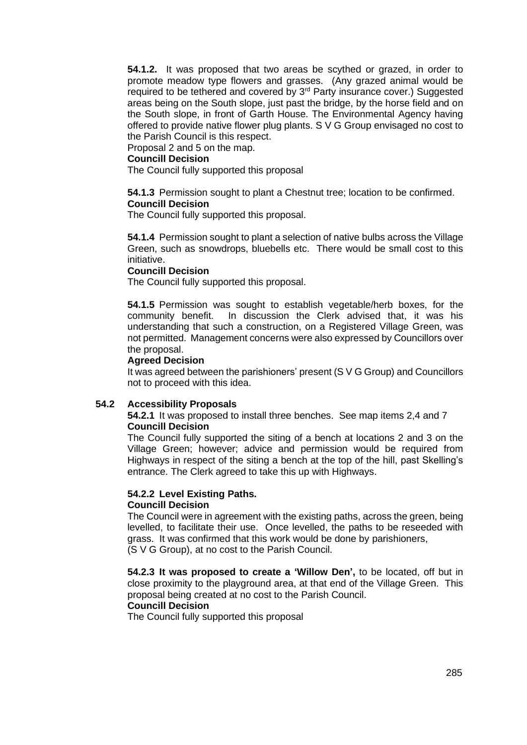**54.1.2.** It was proposed that two areas be scythed or grazed, in order to promote meadow type flowers and grasses. (Any grazed animal would be required to be tethered and covered by 3<sup>rd</sup> Party insurance cover.) Suggested areas being on the South slope, just past the bridge, by the horse field and on the South slope, in front of Garth House. The Environmental Agency having offered to provide native flower plug plants. S V G Group envisaged no cost to the Parish Council is this respect.

Proposal 2 and 5 on the map.

#### **Councill Decision**

The Council fully supported this proposal

**54.1.3** Permission sought to plant a Chestnut tree; location to be confirmed. **Councill Decision**

The Council fully supported this proposal.

**54.1.4** Permission sought to plant a selection of native bulbs across the Village Green, such as snowdrops, bluebells etc. There would be small cost to this initiative.

#### **Councill Decision**

The Council fully supported this proposal.

**54.1.5** Permission was sought to establish vegetable/herb boxes, for the community benefit. In discussion the Clerk advised that, it was his understanding that such a construction, on a Registered Village Green, was not permitted. Management concerns were also expressed by Councillors over the proposal.

#### **Agreed Decision**

It was agreed between the parishioners' present (S V G Group) and Councillors not to proceed with this idea.

## **54.2 Accessibility Proposals**

**54.2.1** It was proposed to install three benches. See map items 2,4 and 7 **Councill Decision** 

The Council fully supported the siting of a bench at locations 2 and 3 on the Village Green; however; advice and permission would be required from Highways in respect of the siting a bench at the top of the hill, past Skelling's entrance. The Clerk agreed to take this up with Highways.

#### **54.2.2 Level Existing Paths. Councill Decision**

The Council were in agreement with the existing paths, across the green, being levelled, to facilitate their use. Once levelled, the paths to be reseeded with grass. It was confirmed that this work would be done by parishioners, (S V G Group), at no cost to the Parish Council.

**54.2.3 It was proposed to create a 'Willow Den',** to be located, off but in close proximity to the playground area, at that end of the Village Green. This proposal being created at no cost to the Parish Council.

## **Councill Decision**

The Council fully supported this proposal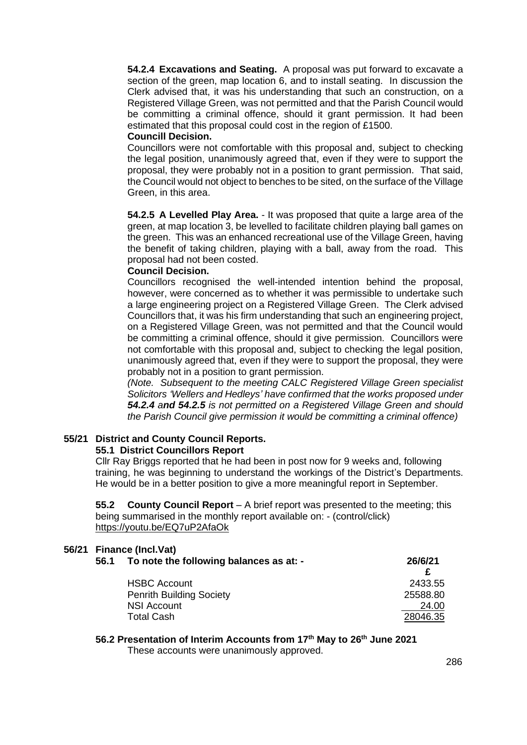**54.2.4 Excavations and Seating.** A proposal was put forward to excavate a section of the green, map location 6, and to install seating. In discussion the Clerk advised that, it was his understanding that such an construction, on a Registered Village Green, was not permitted and that the Parish Council would be committing a criminal offence, should it grant permission. It had been estimated that this proposal could cost in the region of £1500.

#### **Councill Decision.**

Councillors were not comfortable with this proposal and, subject to checking the legal position, unanimously agreed that, even if they were to support the proposal, they were probably not in a position to grant permission. That said, the Council would not object to benches to be sited, on the surface of the Village Green, in this area.

**54.2.5 A Levelled Play Area.** - It was proposed that quite a large area of the green, at map location 3, be levelled to facilitate children playing ball games on the green. This was an enhanced recreational use of the Village Green, having the benefit of taking children, playing with a ball, away from the road. This proposal had not been costed.

#### **Council Decision.**

Councillors recognised the well-intended intention behind the proposal, however, were concerned as to whether it was permissible to undertake such a large engineering project on a Registered Village Green. The Clerk advised Councillors that, it was his firm understanding that such an engineering project, on a Registered Village Green, was not permitted and that the Council would be committing a criminal offence, should it give permission. Councillors were not comfortable with this proposal and, subject to checking the legal position, unanimously agreed that, even if they were to support the proposal, they were probably not in a position to grant permission.

*(Note. Subsequent to the meeting CALC Registered Village Green specialist Solicitors 'Wellers and Hedleys' have confirmed that the works proposed under 54.2.4 and 54.2.5 is not permitted on a Registered Village Green and should the Parish Council give permission it would be committing a criminal offence)*

#### **55/21 District and County Council Reports. 55.1 District Councillors Report**

Cllr Ray Briggs reported that he had been in post now for 9 weeks and, following training, he was beginning to understand the workings of the District's Departments. He would be in a better position to give a more meaningful report in September.

**55.2 County Council Report** – A brief report was presented to the meeting; this being summarised in the monthly report available on: - (control/click) <https://youtu.be/EQ7uP2AfaOk>

## **56/21 Finance (Incl.Vat)**

| To note the following balances as at: - | 26/6/21                                                |
|-----------------------------------------|--------------------------------------------------------|
|                                         | 2433.55                                                |
|                                         | 25588.80                                               |
| <b>NSI Account</b>                      | 24.00                                                  |
| <b>Total Cash</b>                       | 28046.35                                               |
|                                         | <b>HSBC Account</b><br><b>Penrith Building Society</b> |

#### **56.2 Presentation of Interim Accounts from 17th May to 26th June 2021**

These accounts were unanimously approved.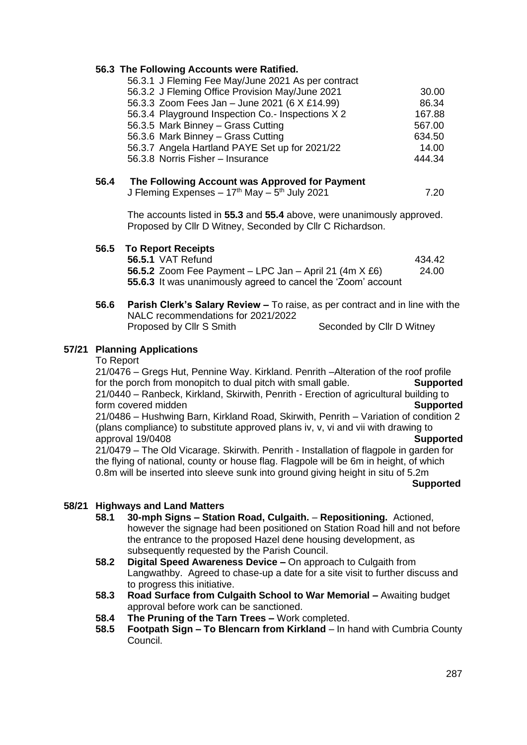## **56.3 The Following Accounts were Ratified.**

| 56.3.1 J Fleming Fee May/June 2021 As per contract |        |
|----------------------------------------------------|--------|
| 56.3.2 J Fleming Office Provision May/June 2021    | 30.00  |
| 56.3.3 Zoom Fees Jan - June 2021 (6 X £14.99)      | 86.34  |
| 56.3.4 Playground Inspection Co.- Inspections X 2  | 167.88 |
| 56.3.5 Mark Binney - Grass Cutting                 | 567.00 |
| 56.3.6 Mark Binney - Grass Cutting                 | 634.50 |
| 56.3.7 Angela Hartland PAYE Set up for 2021/22     | 14.00  |
| 56.3.8 Norris Fisher - Insurance                   | 444.34 |
|                                                    |        |

## **56.4 The Following Account was Approved for Payment**

J Fleming Expenses – 17<sup>th</sup> May – 5<sup>th</sup> July 2021  $\hskip 1.6cm 7.20$ 

The accounts listed in **55.3** and **55.4** above, were unanimously approved. Proposed by Cllr D Witney, Seconded by Cllr C Richardson.

## **56.5 To Report Receipts**

| <b>56.5.1 VAT Refund</b>                                      | 434.42 |
|---------------------------------------------------------------|--------|
| 56.5.2 Zoom Fee Payment – LPC Jan – April 21 (4m $X$ £6)      | 24.00  |
| 55.6.3 It was unanimously agreed to cancel the 'Zoom' account |        |

**56.6 Parish Clerk's Salary Review –** To raise, as per contract and in line with the NALC recommendations for 2021/2022 Proposed by Cllr S Smith Seconded by Cllr D Witney

## **57/21 Planning Applications**

To Report

21/0476 – Gregs Hut, Pennine Way. Kirkland. Penrith –Alteration of the roof profile for the porch from monopitch to dual pitch with small gable. **Supported** 21/0440 – Ranbeck, Kirkland, Skirwith, Penrith - Erection of agricultural building to **form covered midden Supported Supported** 21/0486 – Hushwing Barn, Kirkland Road, Skirwith, Penrith – Variation of condition 2 (plans compliance) to substitute approved plans iv, v, vi and vii with drawing to approval 19/0408 **Supported** 21/0479 – The Old Vicarage. Skirwith. Penrith - Installation of flagpole in garden for the flying of national, county or house flag. Flagpole will be 6m in height, of which 0.8m will be inserted into sleeve sunk into ground giving height in situ of 5.2m

#### **Supported**

## **58/21 Highways and Land Matters**

- **58.1 30-mph Signs – Station Road, Culgaith. Repositioning.** Actioned, however the signage had been positioned on Station Road hill and not before the entrance to the proposed Hazel dene housing development, as subsequently requested by the Parish Council.
- **58.2 Digital Speed Awareness Device –** On approach to Culgaith from Langwathby. Agreed to chase-up a date for a site visit to further discuss and to progress this initiative.
- **58.3 Road Surface from Culgaith School to War Memorial –** Awaiting budget approval before work can be sanctioned.
- **58.4 The Pruning of the Tarn Trees –** Work completed.
- **58.5 Footpath Sign – To Blencarn from Kirkland** In hand with Cumbria County Council.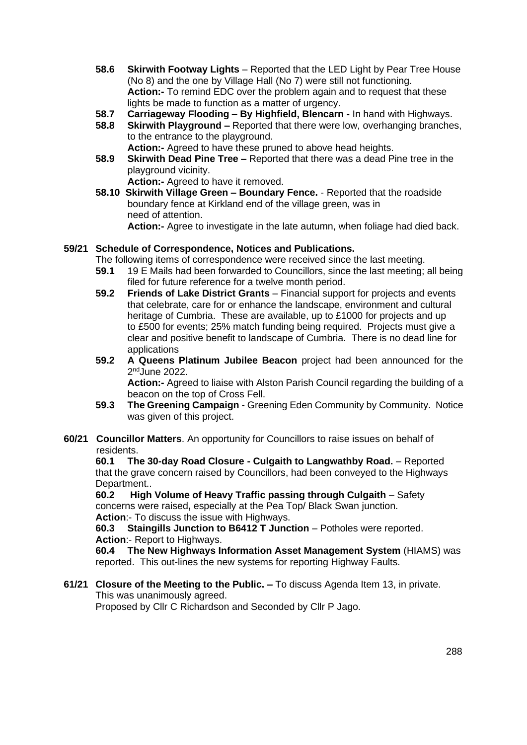- **58.6 Skirwith Footway Lights** Reported that the LED Light by Pear Tree House (No 8) and the one by Village Hall (No 7) were still not functioning. **Action:-** To remind EDC over the problem again and to request that these lights be made to function as a matter of urgency.
- **58.7 Carriageway Flooding – By Highfield, Blencarn -** In hand with Highways.
- **58.8 Skirwith Playground –** Reported that there were low, overhanging branches, to the entrance to the playground.
	- **Action:-** Agreed to have these pruned to above head heights.
- **58.9 Skirwith Dead Pine Tree –** Reported that there was a dead Pine tree in the playground vicinity.

**Action:-** Agreed to have it removed.

**58.10 Skirwith Village Green – Boundary Fence.** - Reported that the roadside boundary fence at Kirkland end of the village green, was in need of attention.

**Action:-** Agree to investigate in the late autumn, when foliage had died back.

## **59/21 Schedule of Correspondence, Notices and Publications.**

- The following items of correspondence were received since the last meeting.
- **59.1** 19 E Mails had been forwarded to Councillors, since the last meeting; all being filed for future reference for a twelve month period.
- **59.2 Friends of Lake District Grants** Financial support for projects and events that celebrate, care for or enhance the landscape, environment and cultural heritage of Cumbria. These are available, up to £1000 for projects and up to £500 for events; 25% match funding being required. Projects must give a clear and positive benefit to landscape of Cumbria. There is no dead line for applications
- **59.2 A Queens Platinum Jubilee Beacon** project had been announced for the 2<sup>nd</sup>June 2022.

**Action:-** Agreed to liaise with Alston Parish Council regarding the building of a beacon on the top of Cross Fell.

- **59.3 The Greening Campaign** Greening Eden Community by Community. Notice was given of this project.
- **60/21 Councillor Matters**. An opportunity for Councillors to raise issues on behalf of residents.

**60.1 The 30-day Road Closure - Culgaith to Langwathby Road.** – Reported that the grave concern raised by Councillors, had been conveyed to the Highways Department..

**60.2 High Volume of Heavy Traffic passing through Culgaith** – Safety concerns were raised**,** especially at the Pea Top/ Black Swan junction. **Action**:- To discuss the issue with Highways.

**60.3 Staingills Junction to B6412 T Junction** – Potholes were reported. **Action**:- Report to Highways.

**60.4 The New Highways Information Asset Management System** (HIAMS) was reported. This out-lines the new systems for reporting Highway Faults.

**61/21 Closure of the Meeting to the Public. –** To discuss Agenda Item 13, in private. This was unanimously agreed.

Proposed by Cllr C Richardson and Seconded by Cllr P Jago.